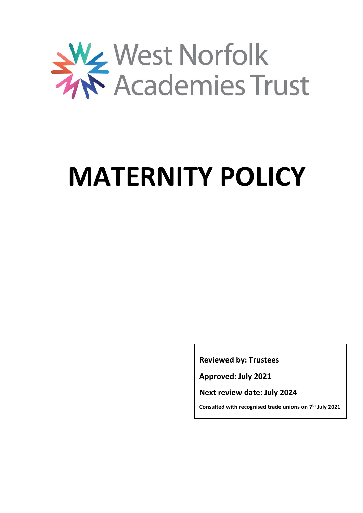

# **MATERNITY POLICY**

**Reviewed by: Trustees**

**Approved: July 2021**

**Next review date: July 2024**

**Consulted with recognised trade unions on 7 th July 2021**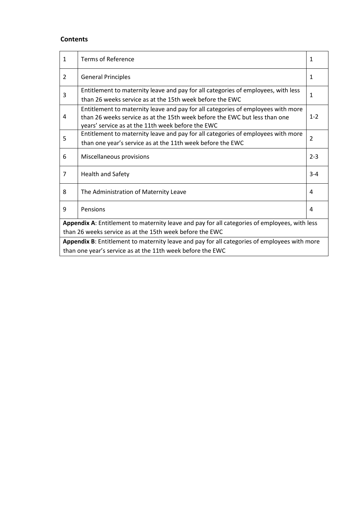## **Contents**

| $\mathbf{1}$                                                                                  | <b>Terms of Reference</b>                                                                                                                                                                                           | 1       |  |  |  |
|-----------------------------------------------------------------------------------------------|---------------------------------------------------------------------------------------------------------------------------------------------------------------------------------------------------------------------|---------|--|--|--|
| $\overline{2}$                                                                                | <b>General Principles</b>                                                                                                                                                                                           | 1       |  |  |  |
| 3                                                                                             | Entitlement to maternity leave and pay for all categories of employees, with less<br>than 26 weeks service as at the 15th week before the EWC                                                                       | 1       |  |  |  |
| 4                                                                                             | Entitlement to maternity leave and pay for all categories of employees with more<br>than 26 weeks service as at the 15th week before the FWC but less than one<br>years' service as at the 11th week before the EWC | $1 - 2$ |  |  |  |
| 5                                                                                             | Entitlement to maternity leave and pay for all categories of employees with more                                                                                                                                    |         |  |  |  |
|                                                                                               | than one year's service as at the 11th week before the EWC                                                                                                                                                          |         |  |  |  |
| 6                                                                                             | Miscellaneous provisions                                                                                                                                                                                            | $2 - 3$ |  |  |  |
| 7                                                                                             | <b>Health and Safety</b>                                                                                                                                                                                            | $3 - 4$ |  |  |  |
| 8                                                                                             | The Administration of Maternity Leave                                                                                                                                                                               | 4       |  |  |  |
| 9                                                                                             | Pensions                                                                                                                                                                                                            | 4       |  |  |  |
| Appendix A: Entitlement to maternity leave and pay for all categories of employees, with less |                                                                                                                                                                                                                     |         |  |  |  |
| than 26 weeks service as at the 15th week before the EWC                                      |                                                                                                                                                                                                                     |         |  |  |  |
| Appendix B: Entitlement to maternity leave and pay for all categories of employees with more  |                                                                                                                                                                                                                     |         |  |  |  |
| than one year's service as at the 11th week before the EWC                                    |                                                                                                                                                                                                                     |         |  |  |  |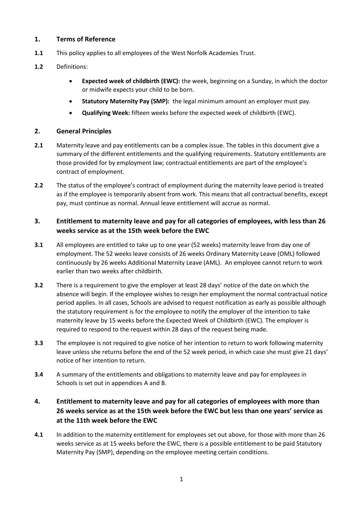## **1. Terms of Reference**

- **1.1** This policy applies to all employees of the West Norfolk Academies Trust.
- **1.2** Definitions:
	- **Expected week of childbirth (EWC):** the week, beginning on a Sunday, in which the doctor or midwife expects your child to be born.
	- **Statutory Maternity Pay (SMP):** the legal minimum amount an employer must pay.
	- **Qualifying Week:** fifteen weeks before the expected week of childbirth (EWC).

## **2. General Principles**

- **2.1** Maternity leave and pay entitlements can be a complex issue. The tables in this document give a summary of the different entitlements and the qualifying requirements. Statutory entitlements are those provided for by employment law; contractual entitlements are part of the employee's contract of employment.
- **2.2** The status of the employee's contract of employment during the maternity leave period is treated as if the employee is temporarily absent from work. This means that all contractual benefits, except pay, must continue as normal. Annual leave entitlement will accrue as normal.

## **3. Entitlement to maternity leave and pay for all categories of employees, with less than 26 weeks service as at the 15th week before the EWC**

- **3.1** All employees are entitled to take up to one year (52 weeks) maternity leave from day one of employment. The 52 weeks leave consists of 26 weeks Ordinary Maternity Leave (OML) followed continuously by 26 weeks Additional Maternity Leave (AML). An employee cannot return to work earlier than two weeks after childbirth.
- **3.2** There is a requirement to give the employer at least 28 days' notice of the date on which the absence will begin. If the employee wishes to resign her employment the normal contractual notice period applies. In all cases, Schools are advised to request notification as early as possible although the statutory requirement is for the employee to notify the employer of the intention to take maternity leave by 15 weeks before the Expected Week of Childbirth (EWC). The employer is required to respond to the request within 28 days of the request being made.
- **3.3** The employee is not required to give notice of her intention to return to work following maternity leave unless she returns before the end of the 52 week period, in which case she must give 21 days' notice of her intention to return.
- **3.4** A summary of the entitlements and obligations to maternity leave and pay for employees in Schools is set out in appendices A and B.

# **4. Entitlement to maternity leave and pay for all categories of employees with more than 26 weeks service as at the 15th week before the EWC but less than one years' service as at the 11th week before the EWC**

**4.1** In addition to the maternity entitlement for employees set out above, for those with more than 26 weeks service as at 15 weeks before the EWC, there is a possible entitlement to be paid Statutory Maternity Pay (SMP), depending on the employee meeting certain conditions.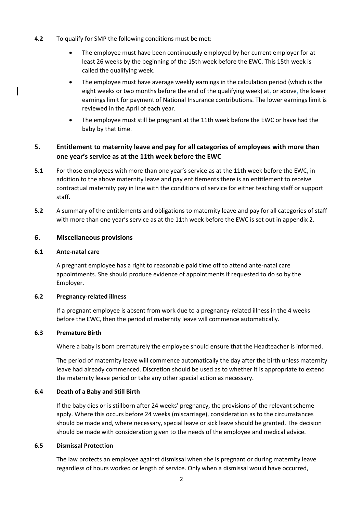- **4.2** To qualify for SMP the following conditions must be met:
	- The employee must have been continuously employed by her current employer for at least 26 weeks by the beginning of the 15th week before the EWC. This 15th week is called the qualifying week.
	- The employee must have average weekly earnings in the calculation period (which is the eight weeks or two months before the end of the qualifying week) at, or above, the lower earnings limit for payment of National Insurance contributions. The lower earnings limit is reviewed in the April of each year.
	- The employee must still be pregnant at the 11th week before the EWC or have had the baby by that time.

## **5. Entitlement to maternity leave and pay for all categories of employees with more than one year's service as at the 11th week before the EWC**

- **5.1** For those employees with more than one year's service as at the 11th week before the EWC, in addition to the above maternity leave and pay entitlements there is an entitlement to receive contractual maternity pay in line with the conditions of service for either teaching staff or support staff.
- **5.2** A summary of the entitlements and obligations to maternity leave and pay for all categories of staff with more than one year's service as at the 11th week before the EWC is set out in appendix 2.

#### **6. Miscellaneous provisions**

#### **6.1 Ante-natal care**

A pregnant employee has a right to reasonable paid time off to attend ante-natal care appointments. She should produce evidence of appointments if requested to do so by the Employer.

#### **6.2 Pregnancy-related illness**

If a pregnant employee is absent from work due to a pregnancy-related illness in the 4 weeks before the EWC, then the period of maternity leave will commence automatically.

#### **6.3 Premature Birth**

Where a baby is born prematurely the employee should ensure that the Headteacher is informed.

The period of maternity leave will commence automatically the day after the birth unless maternity leave had already commenced. Discretion should be used as to whether it is appropriate to extend the maternity leave period or take any other special action as necessary.

#### **6.4 Death of a Baby and Still Birth**

If the baby dies or is stillborn after 24 weeks' pregnancy, the provisions of the relevant scheme apply. Where this occurs before 24 weeks (miscarriage), consideration as to the circumstances should be made and, where necessary, special leave or sick leave should be granted. The decision should be made with consideration given to the needs of the employee and medical advice.

#### **6.5 Dismissal Protection**

The law protects an employee against dismissal when she is pregnant or during maternity leave regardless of hours worked or length of service. Only when a dismissal would have occurred,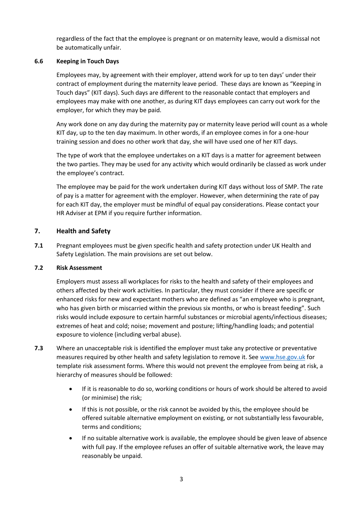regardless of the fact that the employee is pregnant or on maternity leave, would a dismissal not be automatically unfair.

## **6.6 Keeping in Touch Days**

Employees may, by agreement with their employer, attend work for up to ten days' under their contract of employment during the maternity leave period. These days are known as "Keeping in Touch days" (KIT days). Such days are different to the reasonable contact that employers and employees may make with one another, as during KIT days employees can carry out work for the employer, for which they may be paid.

Any work done on any day during the maternity pay or maternity leave period will count as a whole KIT day, up to the ten day maximum. In other words, if an employee comes in for a one-hour training session and does no other work that day, she will have used one of her KIT days.

The type of work that the employee undertakes on a KIT days is a matter for agreement between the two parties. They may be used for any activity which would ordinarily be classed as work under the employee's contract.

The employee may be paid for the work undertaken during KIT days without loss of SMP. The rate of pay is a matter for agreement with the employer. However, when determining the rate of pay for each KIT day, the employer must be mindful of equal pay considerations. Please contact your HR Adviser at EPM if you require further information.

## **7. Health and Safety**

**7.1** Pregnant employees must be given specific health and safety protection under UK Health and Safety Legislation. The main provisions are set out below.

## **7.2 Risk Assessment**

Employers must assess all workplaces for risks to the health and safety of their employees and others affected by their work activities. In particular, they must consider if there are specific or enhanced risks for new and expectant mothers who are defined as "an employee who is pregnant, who has given birth or miscarried within the previous six months, or who is breast feeding". Such risks would include exposure to certain harmful substances or microbial agents/infectious diseases; extremes of heat and cold; noise; movement and posture; lifting/handling loads; and potential exposure to violence (including verbal abuse).

- **7.3** Where an unacceptable risk is identified the employer must take any protective or preventative measures required by other health and safety legislation to remove it. See [www.hse.gov.uk](http://www.hse.gov.uk/risk/resources.htm) for template risk assessment forms. Where this would not prevent the employee from being at risk, a hierarchy of measures should be followed:
	- If it is reasonable to do so, working conditions or hours of work should be altered to avoid (or minimise) the risk;
	- If this is not possible, or the risk cannot be avoided by this, the employee should be offered suitable alternative employment on existing, or not substantially less favourable, terms and conditions;
	- If no suitable alternative work is available, the employee should be given leave of absence with full pay. If the employee refuses an offer of suitable alternative work, the leave may reasonably be unpaid.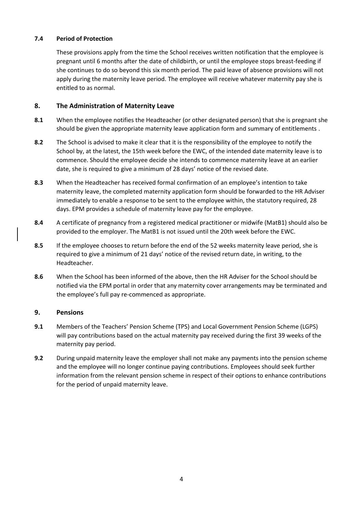## **7.4 Period of Protection**

These provisions apply from the time the School receives written notification that the employee is pregnant until 6 months after the date of childbirth, or until the employee stops breast-feeding if she continues to do so beyond this six month period. The paid leave of absence provisions will not apply during the maternity leave period. The employee will receive whatever maternity pay she is entitled to as normal.

#### **8. The Administration of Maternity Leave**

- **8.1** When the employee notifies the Headteacher (or other designated person) that she is pregnant she should be given the appropriate maternity leave application form and summary of entitlements .
- **8.2** The School is advised to make it clear that it is the responsibility of the employee to notify the School by, at the latest, the 15th week before the EWC, of the intended date maternity leave is to commence. Should the employee decide she intends to commence maternity leave at an earlier date, she is required to give a minimum of 28 days' notice of the revised date.
- **8.3** When the Headteacher has received formal confirmation of an employee's intention to take maternity leave, the completed maternity application form should be forwarded to the HR Adviser immediately to enable a response to be sent to the employee within, the statutory required, 28 days. EPM provides a schedule of maternity leave pay for the employee.
- **8.4** A certificate of pregnancy from a registered medical practitioner or midwife (MatB1) should also be provided to the employer. The MatB1 is not issued until the 20th week before the EWC.
- **8.5** If the employee chooses to return before the end of the 52 weeks maternity leave period, she is required to give a minimum of 21 days' notice of the revised return date, in writing, to the Headteacher.
- **8.6** When the School has been informed of the above, then the HR Adviser for the School should be notified via the EPM portal in order that any maternity cover arrangements may be terminated and the employee's full pay re-commenced as appropriate.

#### **9. Pensions**

- **9.1** Members of the Teachers' Pension Scheme (TPS) and Local Government Pension Scheme (LGPS) will pay contributions based on the actual maternity pay received during the first 39 weeks of the maternity pay period.
- **9.2** During unpaid maternity leave the employer shall not make any payments into the pension scheme and the employee will no longer continue paying contributions. Employees should seek further information from the relevant pension scheme in respect of their options to enhance contributions for the period of unpaid maternity leave.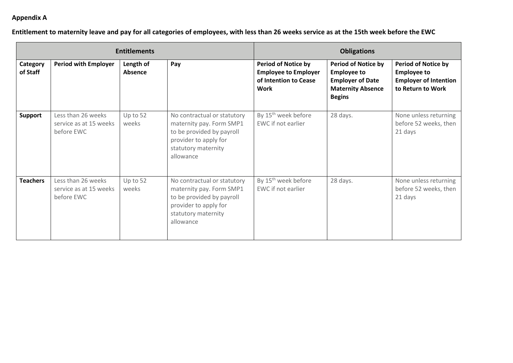# **Appendix A**

# **Entitlement to maternity leave and pay for all categories of employees, with less than 26 weeks service as at the 15th week before the EWC**

| <b>Entitlements</b>  |                                                            |                      |                                                                                                                                                   | <b>Obligations</b>                                                                                |                                                                                                                          |                                                                                                       |
|----------------------|------------------------------------------------------------|----------------------|---------------------------------------------------------------------------------------------------------------------------------------------------|---------------------------------------------------------------------------------------------------|--------------------------------------------------------------------------------------------------------------------------|-------------------------------------------------------------------------------------------------------|
| Category<br>of Staff | <b>Period with Employer</b>                                | Length of<br>Absence | Pay                                                                                                                                               | <b>Period of Notice by</b><br><b>Employee to Employer</b><br>of Intention to Cease<br><b>Work</b> | <b>Period of Notice by</b><br><b>Employee to</b><br><b>Employer of Date</b><br><b>Maternity Absence</b><br><b>Begins</b> | <b>Period of Notice by</b><br><b>Employee to</b><br><b>Employer of Intention</b><br>to Return to Work |
| <b>Support</b>       | Less than 26 weeks<br>service as at 15 weeks<br>before EWC | Up to 52<br>weeks    | No contractual or statutory<br>maternity pay. Form SMP1<br>to be provided by payroll<br>provider to apply for<br>statutory maternity<br>allowance | By 15 <sup>th</sup> week before<br>EWC if not earlier                                             | 28 days.                                                                                                                 | None unless returning<br>before 52 weeks, then<br>21 days                                             |
| <b>Teachers</b>      | Less than 26 weeks<br>service as at 15 weeks<br>before EWC | Up to 52<br>weeks    | No contractual or statutory<br>maternity pay. Form SMP1<br>to be provided by payroll<br>provider to apply for<br>statutory maternity<br>allowance | By 15 <sup>th</sup> week before<br>EWC if not earlier                                             | 28 days.                                                                                                                 | None unless returning<br>before 52 weeks, then<br>21 days                                             |